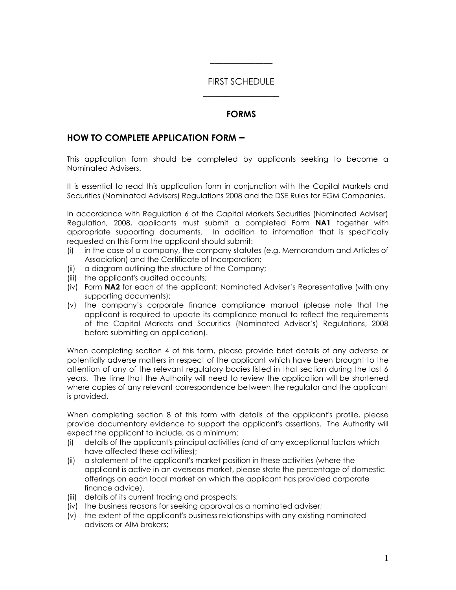## FIRST SCHEDULE  $\overline{\phantom{a}}$  , where  $\overline{\phantom{a}}$

 $\overline{\phantom{a}}$ 

## **FORMS**

## **HOW TO COMPLETE APPLICATION FORM –**

This application form should be completed by applicants seeking to become a Nominated Advisers.

It is essential to read this application form in conjunction with the Capital Markets and Securities (Nominated Advisers) Regulations 2008 and the DSE Rules for EGM Companies.

In accordance with Regulation 6 of the Capital Markets Securities (Nominated Adviser) Regulation, 2008, applicants must submit a completed Form **NA1** together with appropriate supporting documents. In addition to information that is specifically requested on this Form the applicant should submit:

- (i) in the case of a company, the company statutes (e.g. Memorandum and Articles of Association) and the Certificate of Incorporation;
- (ii) a diagram outlining the structure of the Company;
- (iii) the applicant's audited accounts;
- (iv) Form **NA2** for each of the applicant; Nominated Adviser's Representative (with any supporting documents);
- (v) the company's corporate finance compliance manual (please note that the applicant is required to update its compliance manual to reflect the requirements of the Capital Markets and Securities (Nominated Adviser's) Regulations, 2008 before submitting an application).

When completing section 4 of this form, please provide brief details of any adverse or potentially adverse matters in respect of the applicant which have been brought to the attention of any of the relevant regulatory bodies listed in that section during the last 6 years. The time that the Authority will need to review the application will be shortened where copies of any relevant correspondence between the regulator and the applicant is provided.

When completing section 8 of this form with details of the applicant's profile, please provide documentary evidence to support the applicant's assertions. The Authority will expect the applicant to include, as a minimum:

- (i) details of the applicant's principal activities (and of any exceptional factors which have affected these activities);
- (ii) a statement of the applicant's market position in these activities (where the applicant is active in an overseas market, please state the percentage of domestic offerings on each local market on which the applicant has provided corporate finance advice).
- (iii) details of its current trading and prospects;
- (iv) the business reasons for seeking approval as a nominated adviser;
- (v) the extent of the applicant's business relationships with any existing nominated advisers or AIM brokers;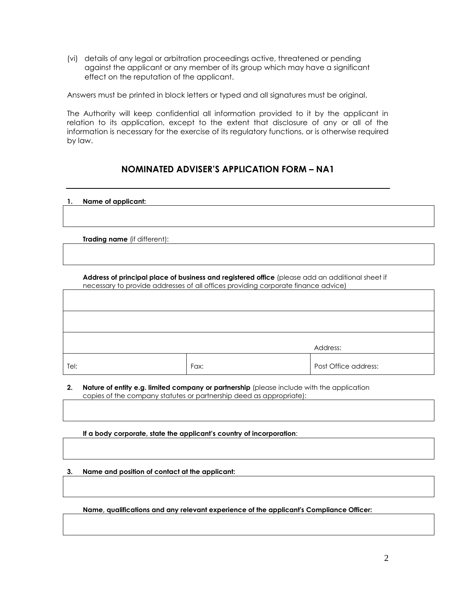(vi) details of any legal or arbitration proceedings active, threatened or pending against the applicant or any member of its group which may have a significant effect on the reputation of the applicant.

Answers must be printed in block letters or typed and all signatures must be original.

The Authority will keep confidential all information provided to it by the applicant in relation to its application, except to the extent that disclosure of any or all of the information is necessary for the exercise of its regulatory functions, or is otherwise required by law.

## **NOMINATED ADVISER'S APPLICATION FORM – NA1**

|  | Name of applicant: |  |
|--|--------------------|--|
|  |                    |  |

**Trading name** (if different):

**Address of principal place of business and registered office** (please add an additional sheet if necessary to provide addresses of all offices providing corporate finance advice)

|      |      | Address:             |
|------|------|----------------------|
| Tel: | Fax: | Post Office address: |

**2. Nature of entity e.g. limited company or partnership** (please include with the application copies of the company statutes or partnership deed as appropriate):

**If a body corporate, state the applicant's country of incorporation**:

**3. Name and position of contact at the applicant:**

**Name, qualifications and any relevant experience of the applicant's Compliance Officer:**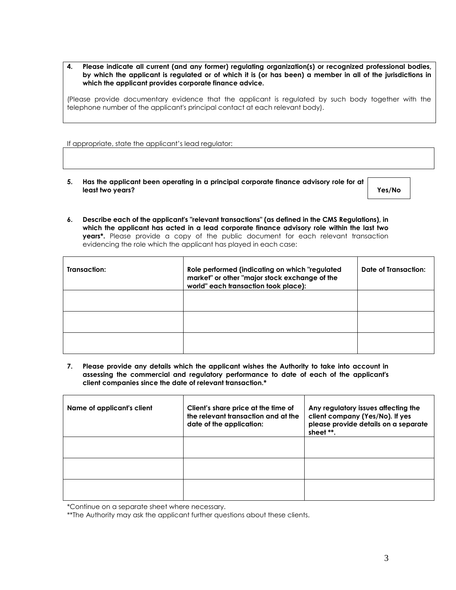**4. Please indicate all current (and any former) regulating organization(s) or recognized professional bodies, by which the applicant is regulated or of which it is (or has been) a member in all of the jurisdictions in which the applicant provides corporate finance advice.**

(Please provide documentary evidence that the applicant is regulated by such body together with the telephone number of the applicant's principal contact at each relevant body).

If appropriate, state the applicant's lead regulator:

**5. Has the applicant been operating in a principal corporate finance advisory role for at least two years? Yes/No**

**6. Describe each of the applicant's "relevant transactions" (as defined in the CMS Regulations), in which the applicant has acted in a lead corporate finance advisory role within the last two years\*.** Please provide a copy of the public document for each relevant transaction evidencing the role which the applicant has played in each case:

| Transaction: | Role performed (indicating on which "regulated<br>market" or other "major stock exchange of the<br>world" each transaction took place): | Date of Transaction: |
|--------------|-----------------------------------------------------------------------------------------------------------------------------------------|----------------------|
|              |                                                                                                                                         |                      |
|              |                                                                                                                                         |                      |
|              |                                                                                                                                         |                      |

**7. Please provide any details which the applicant wishes the Authority to take into account in assessing the commercial and regulatory performance to date of each of the applicant's client companies since the date of relevant transaction.\***

| Name of applicant's client | Client's share price at the time of<br>the relevant transaction and at the<br>date of the application: | Any regulatory issues affecting the<br>client company (Yes/No). If yes<br>please provide details on a separate<br>sheet **. |
|----------------------------|--------------------------------------------------------------------------------------------------------|-----------------------------------------------------------------------------------------------------------------------------|
|                            |                                                                                                        |                                                                                                                             |
|                            |                                                                                                        |                                                                                                                             |
|                            |                                                                                                        |                                                                                                                             |

\*Continue on a separate sheet where necessary.

\*\*The Authority may ask the applicant further questions about these clients.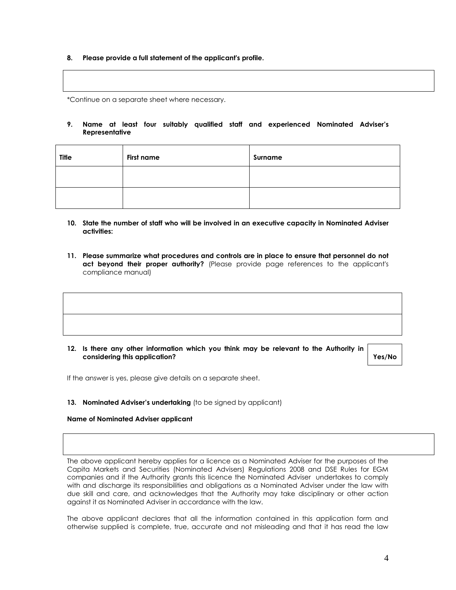**8. Please provide a full statement of the applicant's profile.** 

\*Continue on a separate sheet where necessary.

**9. Name at least four suitably qualified staff and experienced Nominated Adviser's Representative** 

| <b>Title</b> | <b>First name</b> | Surname |
|--------------|-------------------|---------|
|              |                   |         |
|              |                   |         |

- **10. State the number of staff who will be involved in an executive capacity in Nominated Adviser activities:**
- **11. Please summarize what procedures and controls are in place to ensure that personnel do not**  act beyond their proper authority? (Please provide page references to the applicant's compliance manual)

**12. Is there any other information which you think may be relevant to the Authority in considering this application? Yes/No**

If the answer is yes, please give details on a separate sheet.

13. **Nominated Adviser's undertaking** (to be signed by applicant)

#### **Name of Nominated Adviser applicant**

The above applicant hereby applies for a licence as a Nominated Adviser for the purposes of the Capita Markets and Securities (Nominated Advisers) Regulations 2008 and DSE Rules for EGM companies and if the Authority grants this licence the Nominated Adviser undertakes to comply with and discharge its responsibilities and obligations as a Nominated Adviser under the law with due skill and care, and acknowledges that the Authority may take disciplinary or other action against it as Nominated Adviser in accordance with the law.

The above applicant declares that all the information contained in this application form and otherwise supplied is complete, true, accurate and not misleading and that it has read the law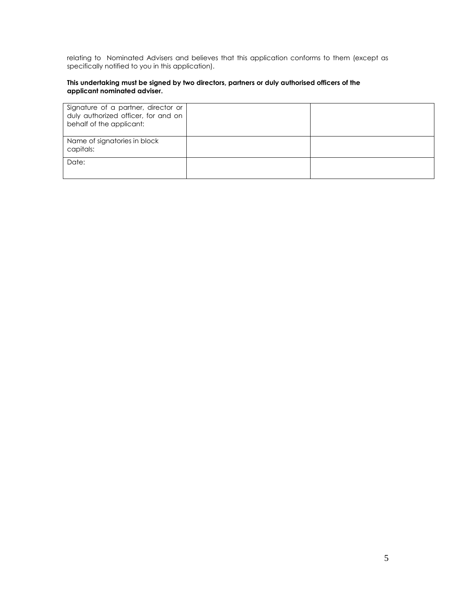relating to Nominated Advisers and believes that this application conforms to them (except as specifically notified to you in this application).

#### **This undertaking must be signed by two directors, partners or duly authorised officers of the applicant nominated adviser.**

| Signature of a partner, director or<br>duly authorized officer, for and on<br>behalf of the applicant: |  |
|--------------------------------------------------------------------------------------------------------|--|
| Name of signatories in block<br>capitals:                                                              |  |
| Date:                                                                                                  |  |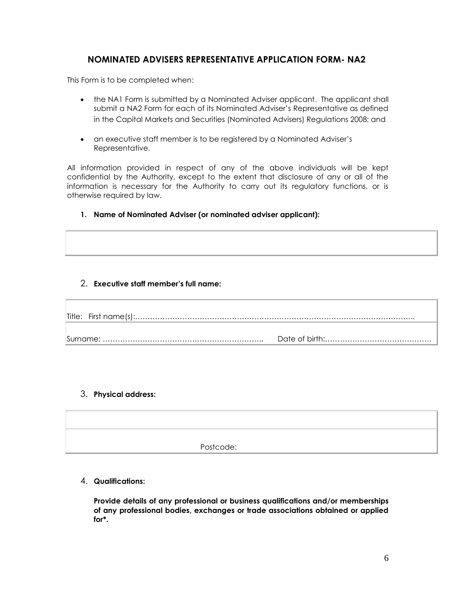## **NOMINATED ADVISERS REPRESENTATIVE APPLICATION FORM- NA2**

This Form is to be completed when:

- the NA1 Form is submitted by a Nominated Adviser applicant. The applicant shall submit a NA2 Form for each of its Nominated Adviser's Representative as defined in the Capital Markets and Securities (Nominated Advisers) Regulations 2008; and
- an executive staff member is to be registered by a Nominated Adviser's Representative.

All information provided in respect of any of the above individuals will be kept confidential by the Authority, except to the extent that disclosure of any or all of the information is necessary for the Authority to carry out its regulatory functions, or is otherwise required by law.

**1. Name of Nominated Adviser (or nominated adviser applicant):**

### 2. **Executive staff member's full name:**

#### 3. **Physical address:**

Postcode:

4. **Qualifications:**

**Provide details of any professional or business qualifications and/or memberships of any professional bodies, exchanges or trade associations obtained or applied for\*.**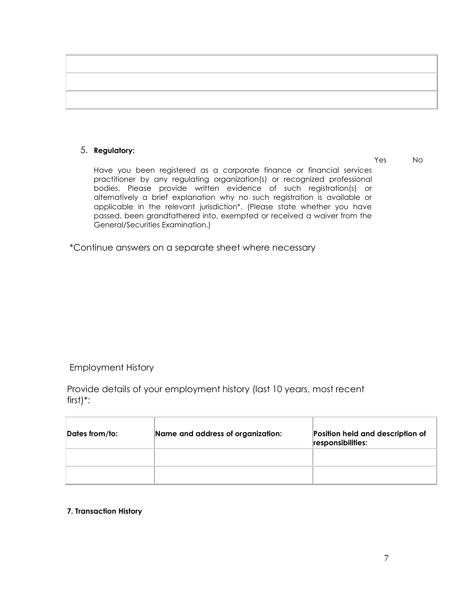### 5. **Regulatory:**

Yes No

Have you been registered as a corporate finance or financial services practitioner by any regulating organization(s) or recognized professional bodies. Please provide written evidence of such registration(s) or alternatively a brief explanation why no such registration is available or applicable in the relevant jurisdiction\*. (Please state whether you have passed, been grandfathered into, exempted or received a waiver from the General/Securities Examination.)

\*Continue answers on a separate sheet where necessary

Employment History

Provide details of your employment history (last 10 years, most recent first)\*:

| Dates from/to: | Name and address of organization: | Position held and description of<br>responsibilities: |
|----------------|-----------------------------------|-------------------------------------------------------|
|                |                                   |                                                       |
|                |                                   |                                                       |

## **7. Transaction History**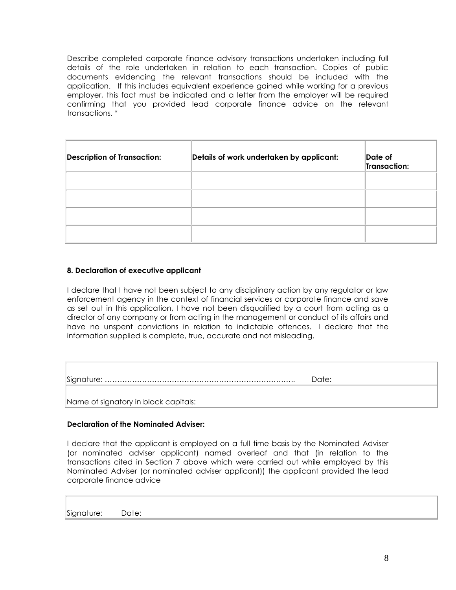Describe completed corporate finance advisory transactions undertaken including full details of the role undertaken in relation to each transaction. Copies of public documents evidencing the relevant transactions should be included with the application. If this includes equivalent experience gained while working for a previous employer, this fact must be indicated and a letter from the employer will be required confirming that you provided lead corporate finance advice on the relevant transactions. \*

| <b>Description of Transaction:</b> | Details of work undertaken by applicant: | Date of<br>Transaction: |
|------------------------------------|------------------------------------------|-------------------------|
|                                    |                                          |                         |
|                                    |                                          |                         |
|                                    |                                          |                         |
|                                    |                                          |                         |

#### **8. Declaration of executive applicant**

I declare that I have not been subject to any disciplinary action by any regulator or law enforcement agency in the context of financial services or corporate finance and save as set out in this application, I have not been disqualified by a court from acting as a director of any company or from acting in the management or conduct of its affairs and have no unspent convictions in relation to indictable offences. I declare that the information supplied is complete, true, accurate and not misleading.

Signature: ………………………………………………………………….. Date:

Name of signatory in block capitals:

#### **Declaration of the Nominated Adviser:**

I declare that the applicant is employed on a full time basis by the Nominated Adviser (or nominated adviser applicant) named overleaf and that (in relation to the transactions cited in Section 7 above which were carried out while employed by this Nominated Adviser (or nominated adviser applicant)) the applicant provided the lead corporate finance advice

Signature: Date: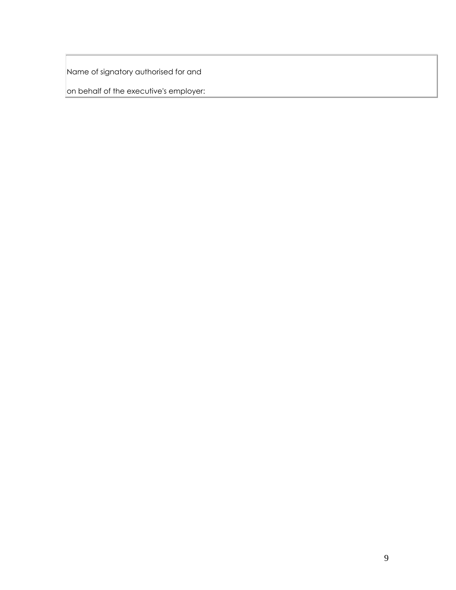Name of signatory authorised for and

on behalf of the executive's employer: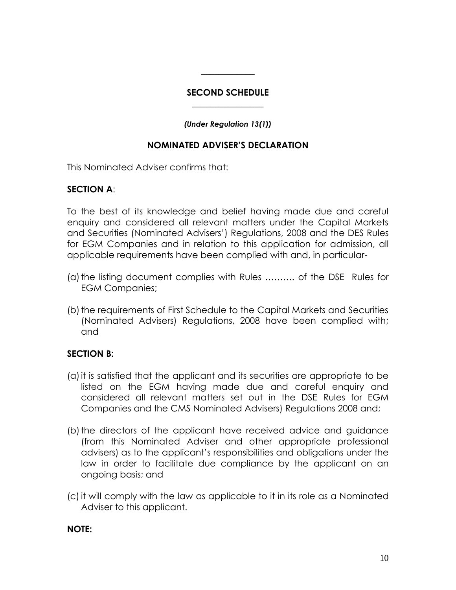## **SECOND SCHEDULE \_\_\_\_\_\_\_\_\_\_\_\_\_\_\_\_**

 $\overline{\phantom{a}}$  , where  $\overline{\phantom{a}}$ 

## *(Under Regulation 13(1))*

## **NOMINATED ADVISER'S DECLARATION**

This Nominated Adviser confirms that:

## **SECTION A**:

To the best of its knowledge and belief having made due and careful enquiry and considered all relevant matters under the Capital Markets and Securities (Nominated Advisers') Regulations, 2008 and the DES Rules for EGM Companies and in relation to this application for admission, all applicable requirements have been complied with and, in particular-

- (a) the listing document complies with Rules .......... of the DSE Rules for EGM Companies;
- (b) the requirements of First Schedule to the Capital Markets and Securities (Nominated Advisers) Regulations, 2008 have been complied with; and

# **SECTION B:**

- (a)it is satisfied that the applicant and its securities are appropriate to be listed on the EGM having made due and careful enquiry and considered all relevant matters set out in the DSE Rules for EGM Companies and the CMS Nominated Advisers) Regulations 2008 and;
- (b) the directors of the applicant have received advice and guidance (from this Nominated Adviser and other appropriate professional advisers) as to the applicant's responsibilities and obligations under the law in order to facilitate due compliance by the applicant on an ongoing basis; and
- (c)it will comply with the law as applicable to it in its role as a Nominated Adviser to this applicant.

## **NOTE:**